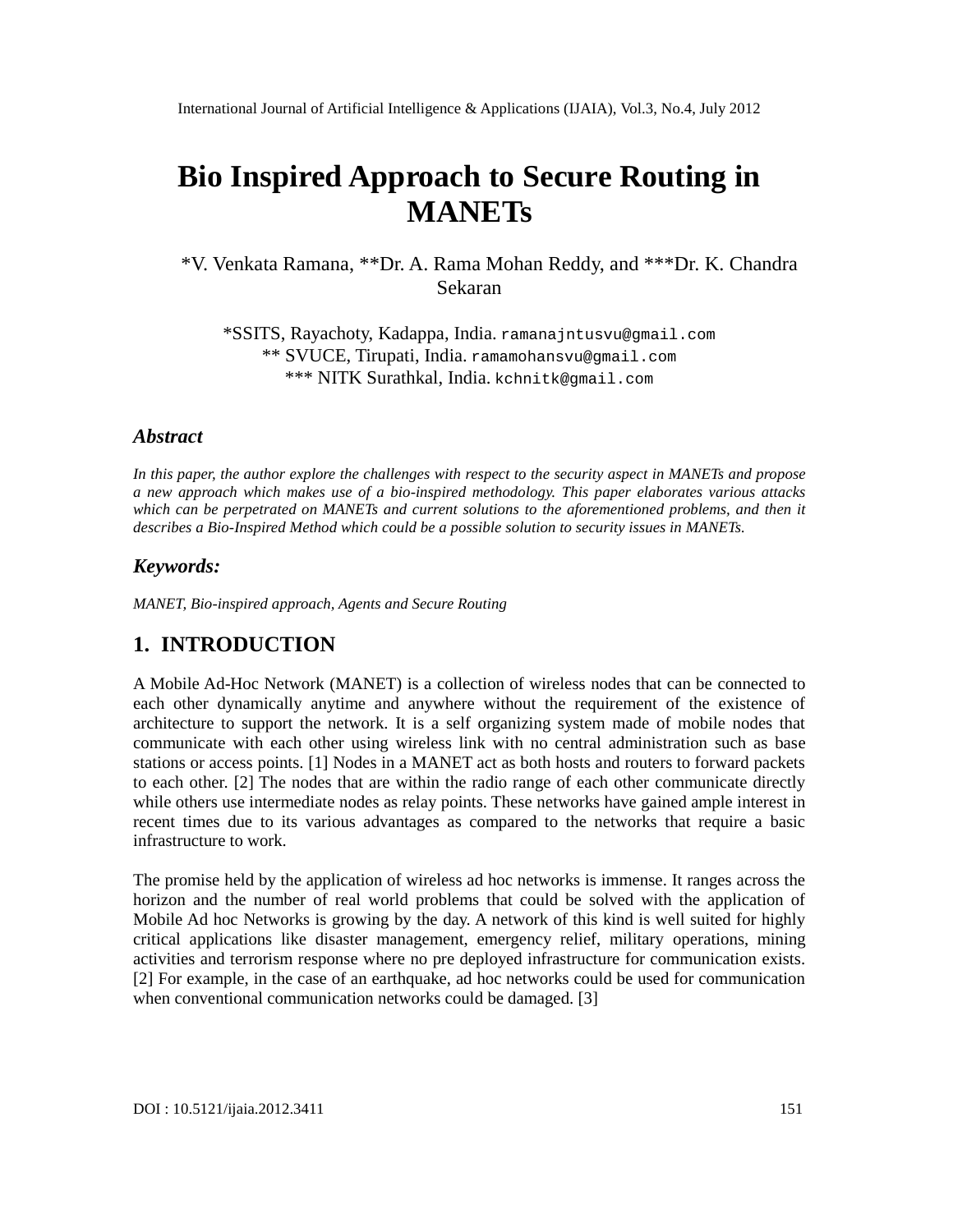# Bio Inspired Approach to Secure Routing in **MANET<sub>S</sub>**

\*V. Venkata Ramana, \*\*DA. Rama Mohan Reddy, and \*\*\*Dr. K. Chandra Sekaran

\*SSITS, Rayachoty, Kadappladia.[ramanajntusvu@gmail.com](mailto:ramanajntusvu@gmail.com) \*\* SVUCE, Tirupati, India.[ramamohansvu@gmail.com](mailto:ramamohansvu@gmail.com) \*\*\* NITK Surathkal, India.[kchnitk@gmail.com](mailto:kchnitk@gmail.com)

### Abstract

In this paper, the authorexplore the challenges with respect to the curity aspect MANETs and propose a new approach which makes use of a ibispired methodology This paper elaborates various attacks which can be perpetrated on MANETs and current solution the aforementioned problems, and then it describesa Bio-Inspired Methodwhich could be a possible solution to security issues in MANETs.

#### Keywords:

MANET, Bioinspired approach, Agents and Secure Routing

# 1. INTRODUCTION

A Mobile Ad-Hoc Network (MANET) is a collection of wireless nodes that can be connected to each other dynaically anytime and anywhere without the requirement of the existence of architecture to support the network. It is a self organizing system made of mobile nodes that communicate with each other using wireless link with no central administration sucheas bas stations or access points. [1] Nodes in a MANET act as both hosts and routers to forward packets to each other. [2] The nodes that are within the radio range of each other communicate directly while others use intermediate nodes as relay points. Thesering have gained ample interest in recent times due to its various advantages as compared to the networks that require a basic infrastructure to work.

The promise held by the application of wireless ad hoc networks is immense. It ranges across the horizon and the number of real world problems that could be solved with the application of Mobile Ad hoc Networks is growing by the day. A network of this kind is well suited for highly critical applications like disaster management, emergency relief, militiare pations, mining activities and terrorism response where no pre deployed infrastructure for communication exists. [2] For example, in the case of an earthquake, ad hoc networks could be used for communication when conventional communication networks colde damaged. [3]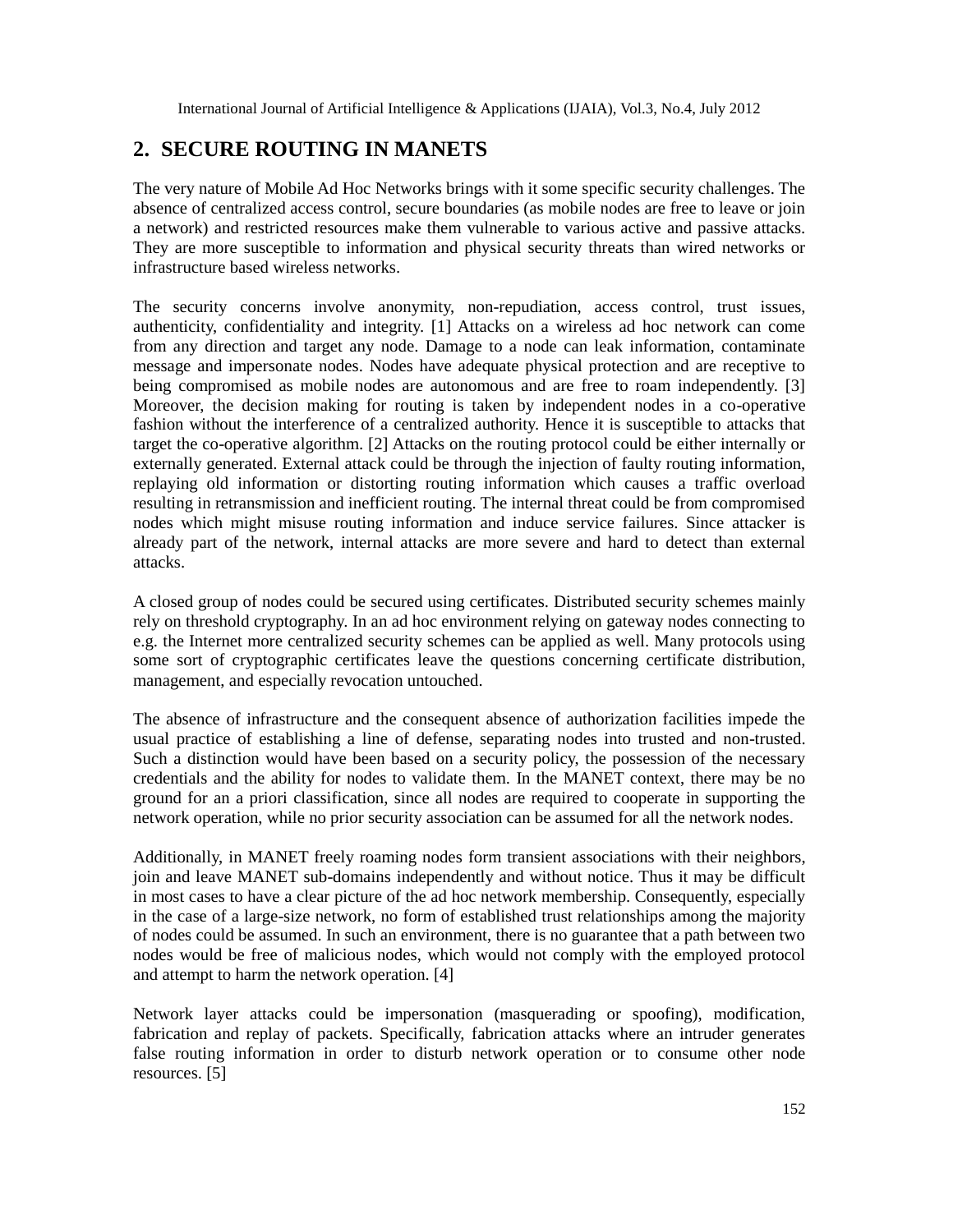# **2. SECURE ROUTING IN MANETS**

The very nature of Mobile Ad Hoc Networks brings with it some specific security challenges. The absence of centralized access control, secure boundaries (as mobile nodes are free to leave or join a network) and restricted resources make them vulnerable to various active and passive attacks. They are more susceptible to information and physical security threats than wired networks or infrastructure based wireless networks.

The security concerns involve anonymity, non-repudiation, access control, trust issues, authenticity, confidentiality and integrity. [1] Attacks on a wireless ad hoc network can come from any direction and target any node. Damage to a node can leak information, contaminate message and impersonate nodes. Nodes have adequate physical protection and are receptive to being compromised as mobile nodes are autonomous and are free to roam independently. [3] Moreover, the decision making for routing is taken by independent nodes in a co-operative fashion without the interference of a centralized authority. Hence it is susceptible to attacks that target the co-operative algorithm. [2] Attacks on the routing protocol could be either internally or externally generated. External attack could be through the injection of faulty routing information, replaying old information or distorting routing information which causes a traffic overload resulting in retransmission and inefficient routing. The internal threat could be from compromised nodes which might misuse routing information and induce service failures. Since attacker is already part of the network, internal attacks are more severe and hard to detect than external attacks.

A closed group of nodes could be secured using certificates. Distributed security schemes mainly rely on threshold cryptography. In an ad hoc environment relying on gateway nodes connecting to e.g. the Internet more centralized security schemes can be applied as well. Many protocols using some sort of cryptographic certificates leave the questions concerning certificate distribution, management, and especially revocation untouched.

The absence of infrastructure and the consequent absence of authorization facilities impede the usual practice of establishing a line of defense, separating nodes into trusted and non-trusted. Such a distinction would have been based on a security policy, the possession of the necessary credentials and the ability for nodes to validate them. In the MANET context, there may be no ground for an a priori classification, since all nodes are required to cooperate in supporting the network operation, while no prior security association can be assumed for all the network nodes.

Additionally, in MANET freely roaming nodes form transient associations with their neighbors, join and leave MANET sub-domains independently and without notice. Thus it may be difficult in most cases to have a clear picture of the ad hoc network membership. Consequently, especially in the case of a large-size network, no form of established trust relationships among the majority of nodes could be assumed. In such an environment, there is no guarantee that a path between two nodes would be free of malicious nodes, which would not comply with the employed protocol and attempt to harm the network operation. [4]

Network layer attacks could be impersonation (masquerading or spoofing), modification, fabrication and replay of packets. Specifically, fabrication attacks where an intruder generates false routing information in order to disturb network operation or to consume other node resources. [5]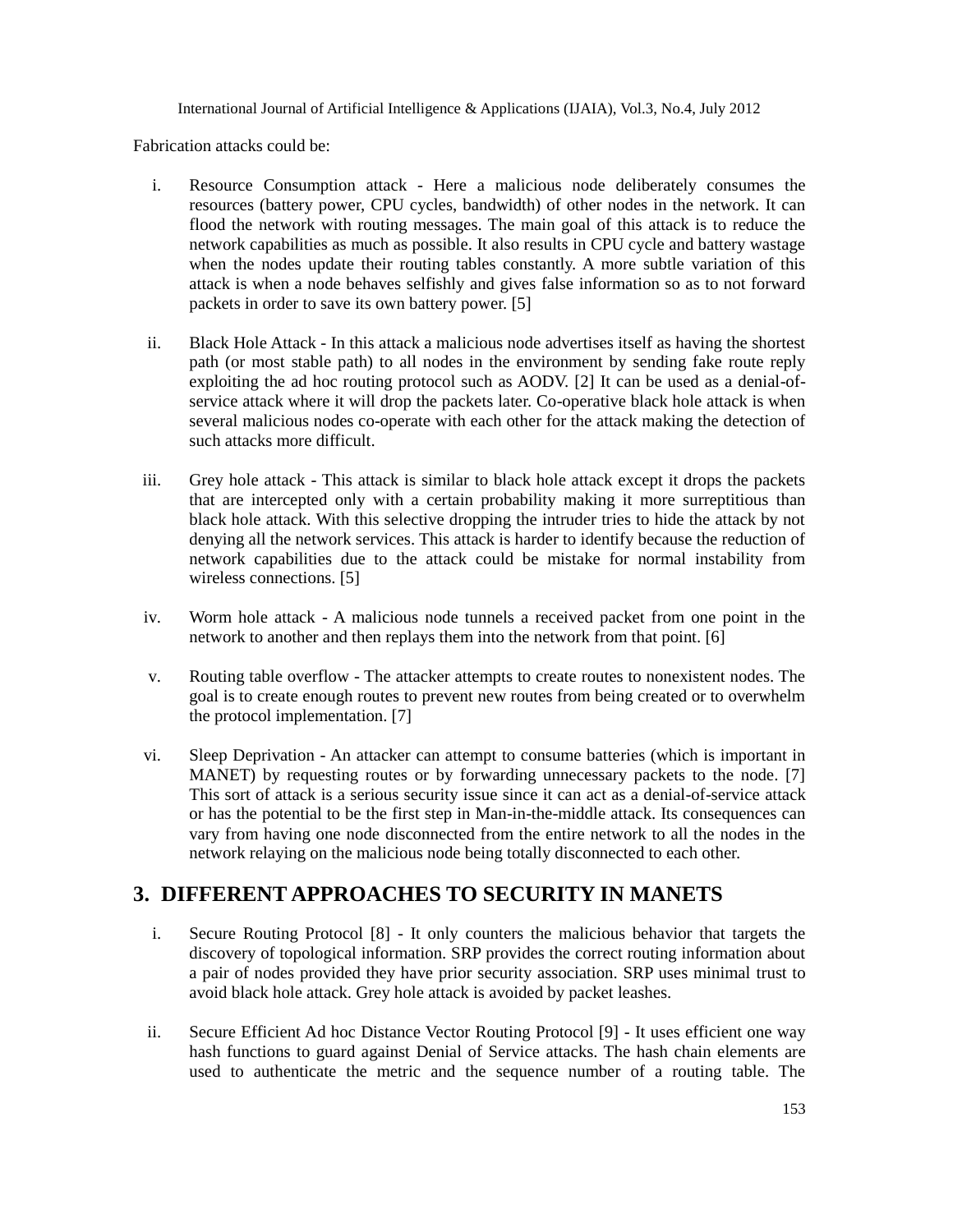Fabrication attacks could be:

- i. Resource Consumption attack Here a malicious node deliberately consumes the resources (battery power, CPU cycles, bandwidth) of other nodes in the network. It can flood the network with routing messages. The main goal of this attack is to reduce the network capabilities as much as possible. It also results in CPU cycle and battery wastage when the nodes update their routing tables constantly. A more subtle variation of this attack is when a node behaves selfishly and gives false information so as to not forward packets in order to save its own battery power. [5]
- ii. Black Hole Attack In this attack a malicious node advertises itself as having the shortest path (or most stable path) to all nodes in the environment by sending fake route reply exploiting the ad hoc routing protocol such as AODV. [2] It can be used as a denial-ofservice attack where it will drop the packets later. Co-operative black hole attack is when several malicious nodes co-operate with each other for the attack making the detection of such attacks more difficult.
- iii. Grey hole attack This attack is similar to black hole attack except it drops the packets that are intercepted only with a certain probability making it more surreptitious than black hole attack. With this selective dropping the intruder tries to hide the attack by not denying all the network services. This attack is harder to identify because the reduction of network capabilities due to the attack could be mistake for normal instability from wireless connections. [5]
- iv. Worm hole attack A malicious node tunnels a received packet from one point in the network to another and then replays them into the network from that point. [6]
- v. Routing table overflow The attacker attempts to create routes to nonexistent nodes. The goal is to create enough routes to prevent new routes from being created or to overwhelm the protocol implementation. [7]
- vi. Sleep Deprivation An attacker can attempt to consume batteries (which is important in MANET) by requesting routes or by forwarding unnecessary packets to the node. [7] This sort of attack is a serious security issue since it can act as a denial-of-service attack or has the potential to be the first step in Man-in-the-middle attack. Its consequences can vary from having one node disconnected from the entire network to all the nodes in the network relaying on the malicious node being totally disconnected to each other.

# **3. DIFFERENT APPROACHES TO SECURITY IN MANETS**

- i. Secure Routing Protocol [8] It only counters the malicious behavior that targets the discovery of topological information. SRP provides the correct routing information about a pair of nodes provided they have prior security association. SRP uses minimal trust to avoid black hole attack. Grey hole attack is avoided by packet leashes.
- ii. Secure Efficient Ad hoc Distance Vector Routing Protocol [9] It uses efficient one way hash functions to guard against Denial of Service attacks. The hash chain elements are used to authenticate the metric and the sequence number of a routing table. The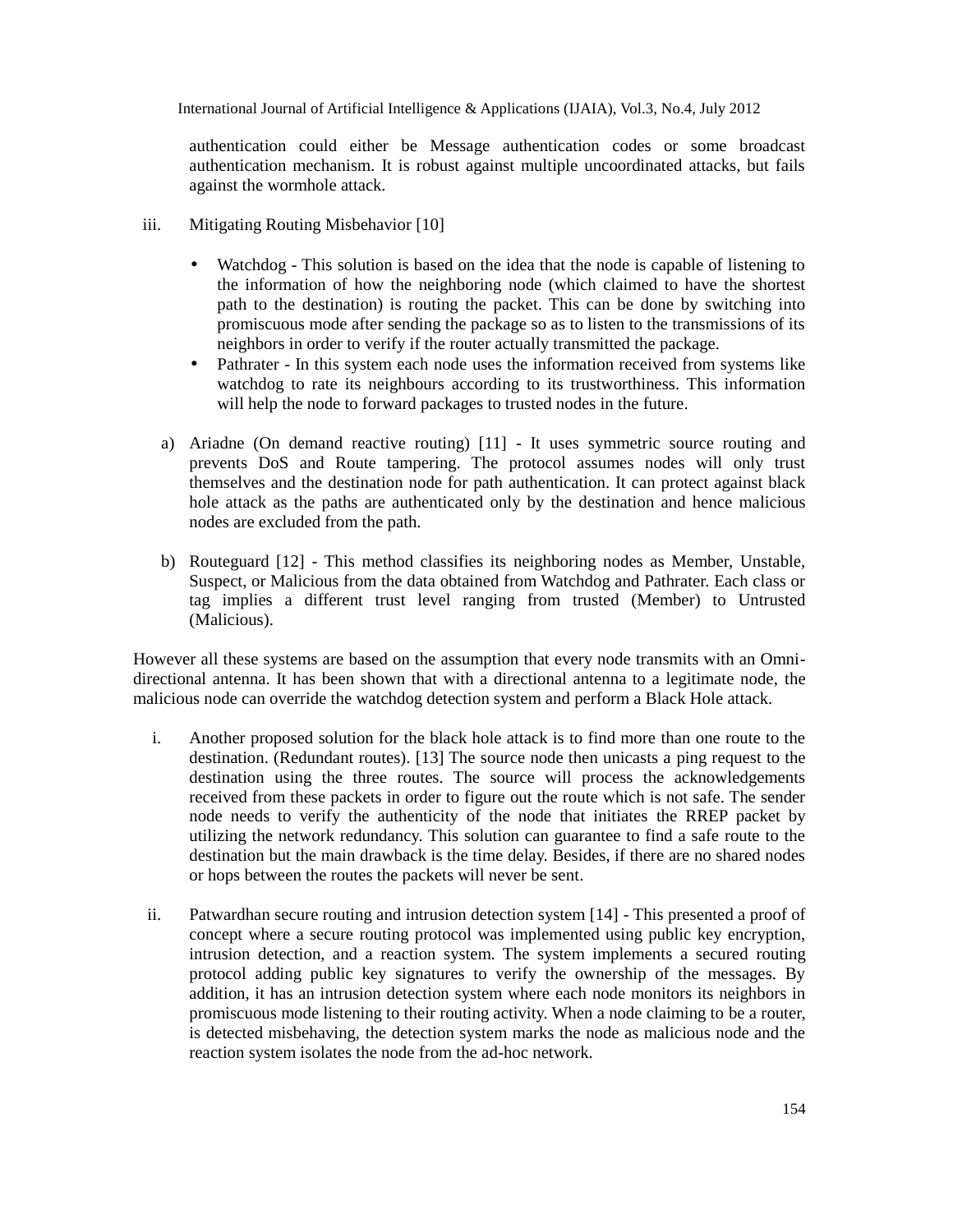authentication could either be Message authentication codes or some broadcast authentication mechanism. It is robust against multiple uncoordinated attacks, but fails against the wormhole attack.

- iii. Mitigating Routing Misbehavior [10]
	- Watchdog This solution is based on the idea that the node is capable of listening to the information of how the neighboring node (which claimed to have the shortest path to the destination) is routing the packet. This can be done by switching into promiscuous mode after sending the package so as to listen to the transmissions of its neighbors in order to verify if the router actually transmitted the package.
	- Pathrater In this system each node uses the information received from systems like watchdog to rate its neighbours according to its trustworthiness. This information will help the node to forward packages to trusted nodes in the future.
	- a) Ariadne (On demand reactive routing) [11] It uses symmetric source routing and prevents DoS and Route tampering. The protocol assumes nodes will only trust themselves and the destination node for path authentication. It can protect against black hole attack as the paths are authenticated only by the destination and hence malicious nodes are excluded from the path.
	- b) Routeguard [12] This method classifies its neighboring nodes as Member, Unstable, Suspect, or Malicious from the data obtained from Watchdog and Pathrater. Each class or tag implies a different trust level ranging from trusted (Member) to Untrusted (Malicious).

However all these systems are based on the assumption that every node transmits with an Omnidirectional antenna. It has been shown that with a directional antenna to a legitimate node, the malicious node can override the watchdog detection system and perform a Black Hole attack.

- i. Another proposed solution for the black hole attack is to find more than one route to the destination. (Redundant routes). [13] The source node then unicasts a ping request to the destination using the three routes. The source will process the acknowledgements received from these packets in order to figure out the route which is not safe. The sender node needs to verify the authenticity of the node that initiates the RREP packet by utilizing the network redundancy. This solution can guarantee to find a safe route to the destination but the main drawback is the time delay. Besides, if there are no shared nodes or hops between the routes the packets will never be sent.
- ii. Patwardhan secure routing and intrusion detection system [14] This presented a proof of concept where a secure routing protocol was implemented using public key encryption, intrusion detection, and a reaction system. The system implements a secured routing protocol adding public key signatures to verify the ownership of the messages. By addition, it has an intrusion detection system where each node monitors its neighbors in promiscuous mode listening to their routing activity. When a node claiming to be a router, is detected misbehaving, the detection system marks the node as malicious node and the reaction system isolates the node from the ad-hoc network.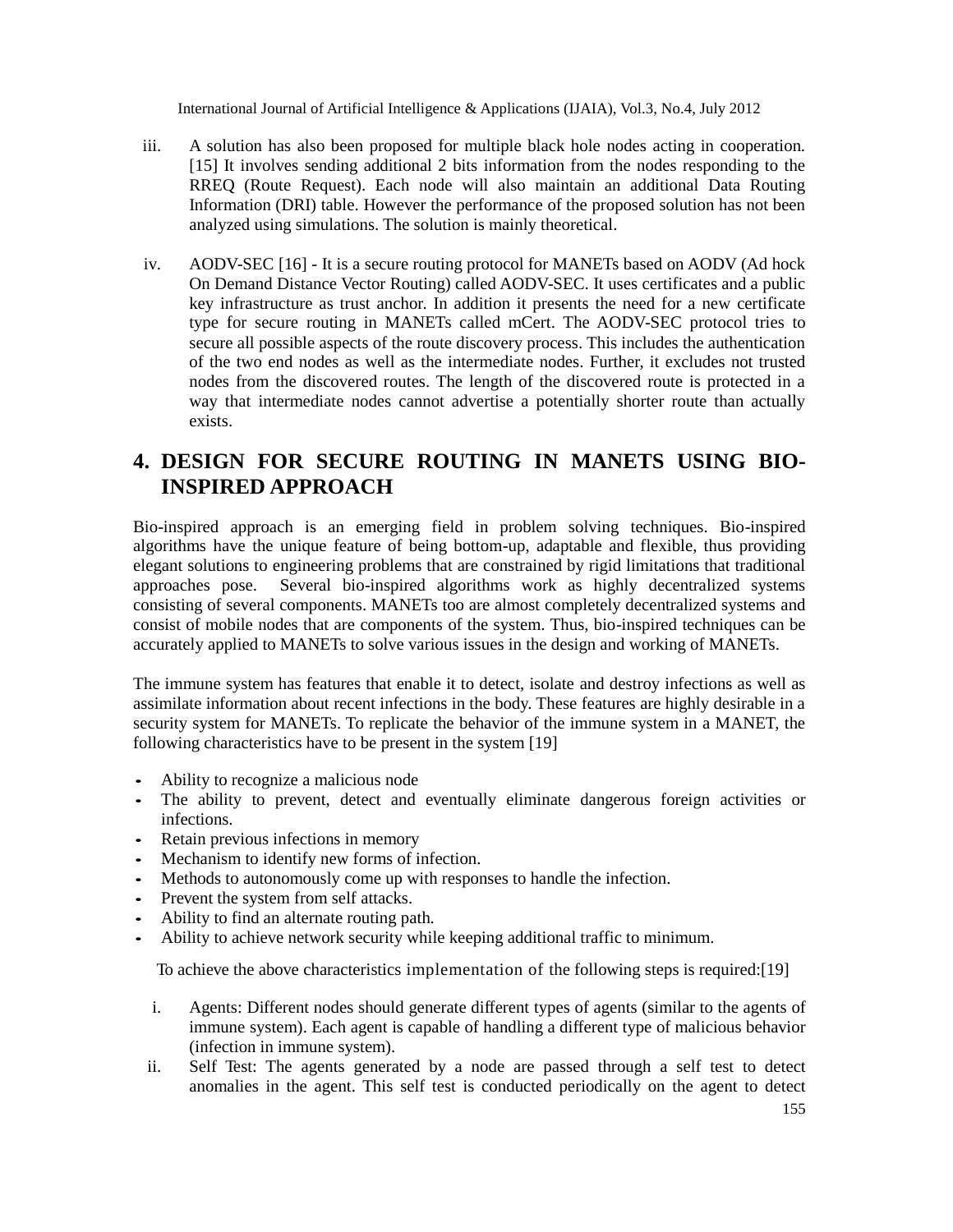- iii. A solution has also been proposed for multiple black hole nodes acting in cooperation. [15] It involves sending additional 2 bits information from the nodes responding to the RREQ (Route Request). Each node will also maintain an additional Data Routing Information (DRI) table. However the performance of the proposed solution has not been analyzed using simulations. The solution is mainly theoretical.
- iv. AODV-SEC [16] It is a secure routing protocol for MANETs based on AODV (Ad hock On Demand Distance Vector Routing) called AODV-SEC. It uses certificates and a public key infrastructure as trust anchor. In addition it presents the need for a new certificate type for secure routing in MANETs called mCert. The AODV-SEC protocol tries to secure all possible aspects of the route discovery process. This includes the authentication of the two end nodes as well as the intermediate nodes. Further, it excludes not trusted nodes from the discovered routes. The length of the discovered route is protected in a way that intermediate nodes cannot advertise a potentially shorter route than actually exists.

# **4. DESIGN FOR SECURE ROUTING IN MANETS USING BIO-INSPIRED APPROACH**

Bio-inspired approach is an emerging field in problem solving techniques. Bio-inspired algorithms have the unique feature of being bottom-up, adaptable and flexible, thus providing elegant solutions to engineering problems that are constrained by rigid limitations that traditional approaches pose. Several bio-inspired algorithms work as highly decentralized systems consisting of several components. MANETs too are almost completely decentralized systems and consist of mobile nodes that are components of the system. Thus, bio-inspired techniques can be accurately applied to MANETs to solve various issues in the design and working of MANETs.

The immune system has features that enable it to detect, isolate and destroy infections as well as assimilate information about recent infections in the body. These features are highly desirable in a security system for MANETs. To replicate the behavior of the immune system in a MANET, the following characteristics have to be present in the system [19]

- Ability to recognize a malicious node
- The ability to prevent, detect and eventually eliminate dangerous foreign activities or infections.
- Retain previous infections in memory
- Mechanism to identify new forms of infection.
- Methods to autonomously come up with responses to handle the infection.
- Prevent the system from self attacks.
- Ability to find an alternate routing path.
- Ability to achieve network security while keeping additional traffic to minimum.

To achieve the above characteristics implementation of the following steps is required:[19]

- i. Agents: Different nodes should generate different types of agents (similar to the agents of immune system). Each agent is capable of handling a different type of malicious behavior (infection in immune system).
- ii. Self Test: The agents generated by a node are passed through a self test to detect anomalies in the agent. This self test is conducted periodically on the agent to detect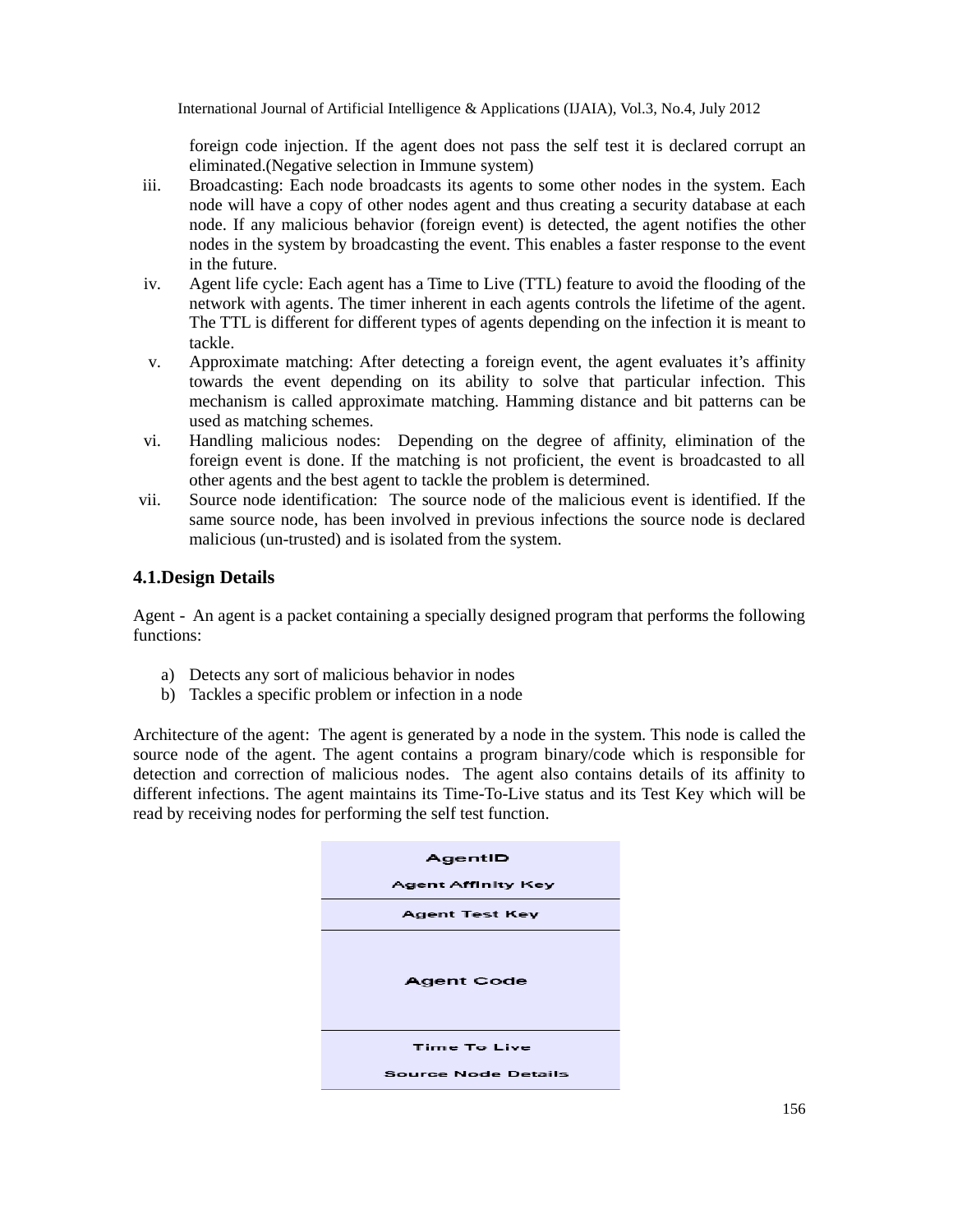foreign code injection. If the agent does not pass the self test it is declared corrupt an eliminated.(Negative selection in Immune system)

- iii. Broadcasting: Each node broadcasts its agents to some other nodes in the system. Each node will have a copy of other nodes agent and thus creating a security database at each node. If any malicious behavior (foreign event) is detected, the agent notifies the other nodes in the system by broadcasting the event. This enables a faster response to the event in the future.
- iv. Agent life cycle: Each agent has a Time to Live (TTL) feature to avoid the flooding of the network with agents. The timer inherent in each agents controls the lifetime of the agent. The TTL is different for different types of agents depending on the infection it is meant to tackle.
- v. Approximate matching: After detecting a foreign event, the agent evaluates it's affinity towards the event depending on its ability to solve that particular infection. This mechanism is called approximate matching. Hamming distance and bit patterns can be used as matching schemes.
- vi. Handling malicious nodes: Depending on the degree of affinity, elimination of the foreign event is done. If the matching is not proficient, the event is broadcasted to all other agents and the best agent to tackle the problem is determined.
- vii. Source node identification: The source node of the malicious event is identified. If the same source node, has been involved in previous infections the source node is declared malicious (un-trusted) and is isolated from the system.

#### **4.1.Design Details**

Agent - An agent is a packet containing a specially designed program that performs the following functions:

- a) Detects any sort of malicious behavior in nodes
- b) Tackles a specific problem or infection in a node

Architecture of the agent: The agent is generated by a node in the system. This node is called the source node of the agent. The agent contains a program binary/code which is responsible for detection and correction of malicious nodes. The agent also contains details of its affinity to different infections. The agent maintains its Time-To-Live status and its Test Key which will be read by receiving nodes for performing the self test function.

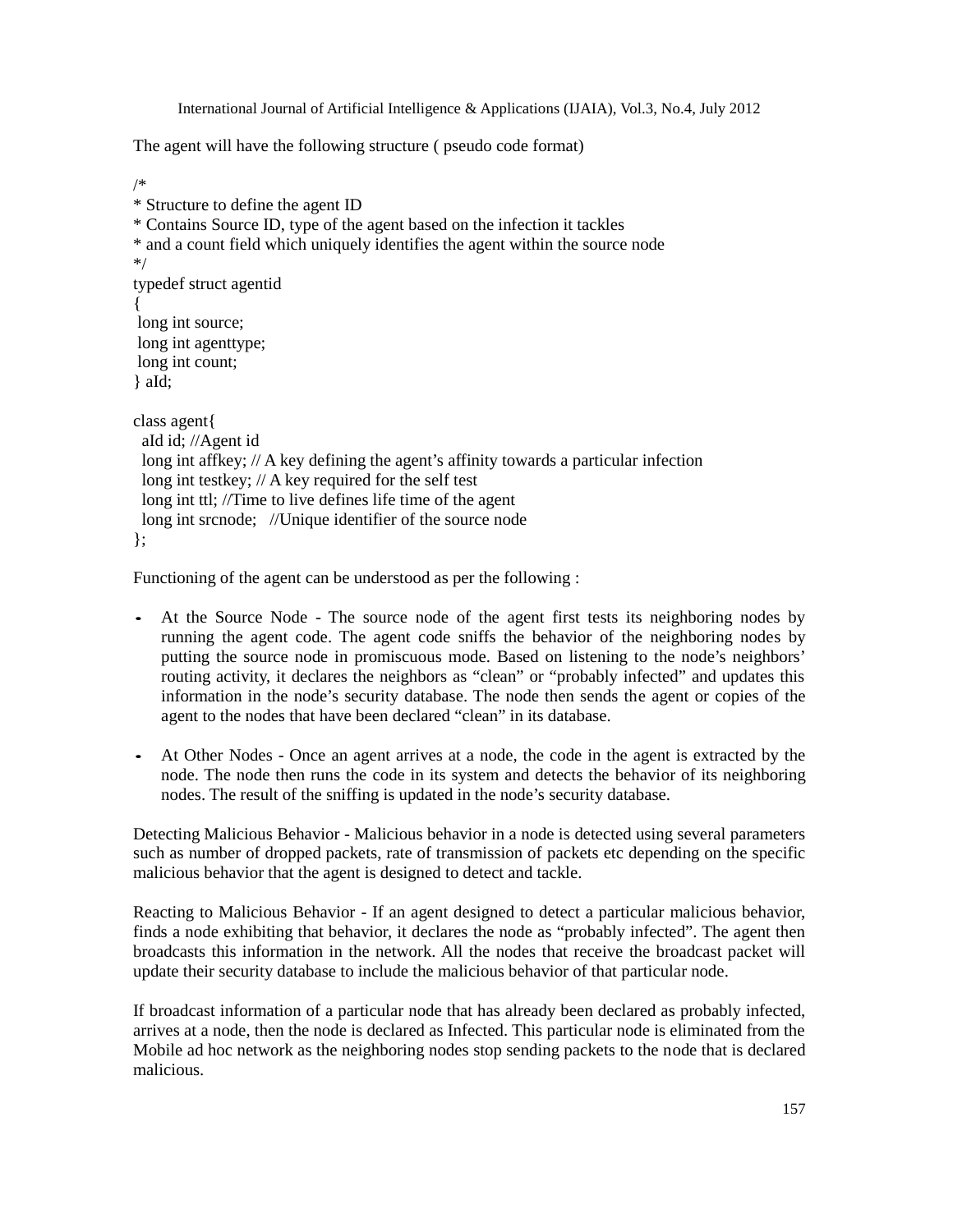The agent will have the following structure ( pseudo code format)

```
/*
* Structure to define the agent ID
* Contains Source ID, type of the agent based on the infection it tackles
* and a count field which uniquely identifies the agent within the source node
*/
typedef struct agentid
{
long int source;
long int agenttype;
long int count;
} aId;
class agent{
 aId id; //Agent id
 long int affkey; // A key defining the agent's affinity towards a particular infection
 long int testkey; // A key required for the self test
 long int ttl; //Time to live defines life time of the agent
 long int srcnode; //Unique identifier of the source node
};
```
Functioning of the agent can be understood as per the following :

- At the Source Node The source node of the agent first tests its neighboring nodes by running the agent code. The agent code sniffs the behavior of the neighboring nodes by putting the source node in promiscuous mode. Based on listening to the node's neighbors' routing activity, it declares the neighbors as "clean" or "probably infected" and updates this information in the node's security database. The node then sends the agent or copies of the agent to the nodes that have been declared "clean" in its database.
- At Other Nodes Once an agent arrives at a node, the code in the agent is extracted by the node. The node then runs the code in its system and detects the behavior of its neighboring nodes. The result of the sniffing is updated in the node's security database.

Detecting Malicious Behavior - Malicious behavior in a node is detected using several parameters such as number of dropped packets, rate of transmission of packets etc depending on the specific malicious behavior that the agent is designed to detect and tackle.

Reacting to Malicious Behavior - If an agent designed to detect a particular malicious behavior, finds a node exhibiting that behavior, it declares the node as "probably infected". The agent then broadcasts this information in the network. All the nodes that receive the broadcast packet will update their security database to include the malicious behavior of that particular node.

If broadcast information of a particular node that has already been declared as probably infected, arrives at a node, then the node is declared as Infected. This particular node is eliminated from the Mobile ad hoc network as the neighboring nodes stop sending packets to the node that is declared malicious.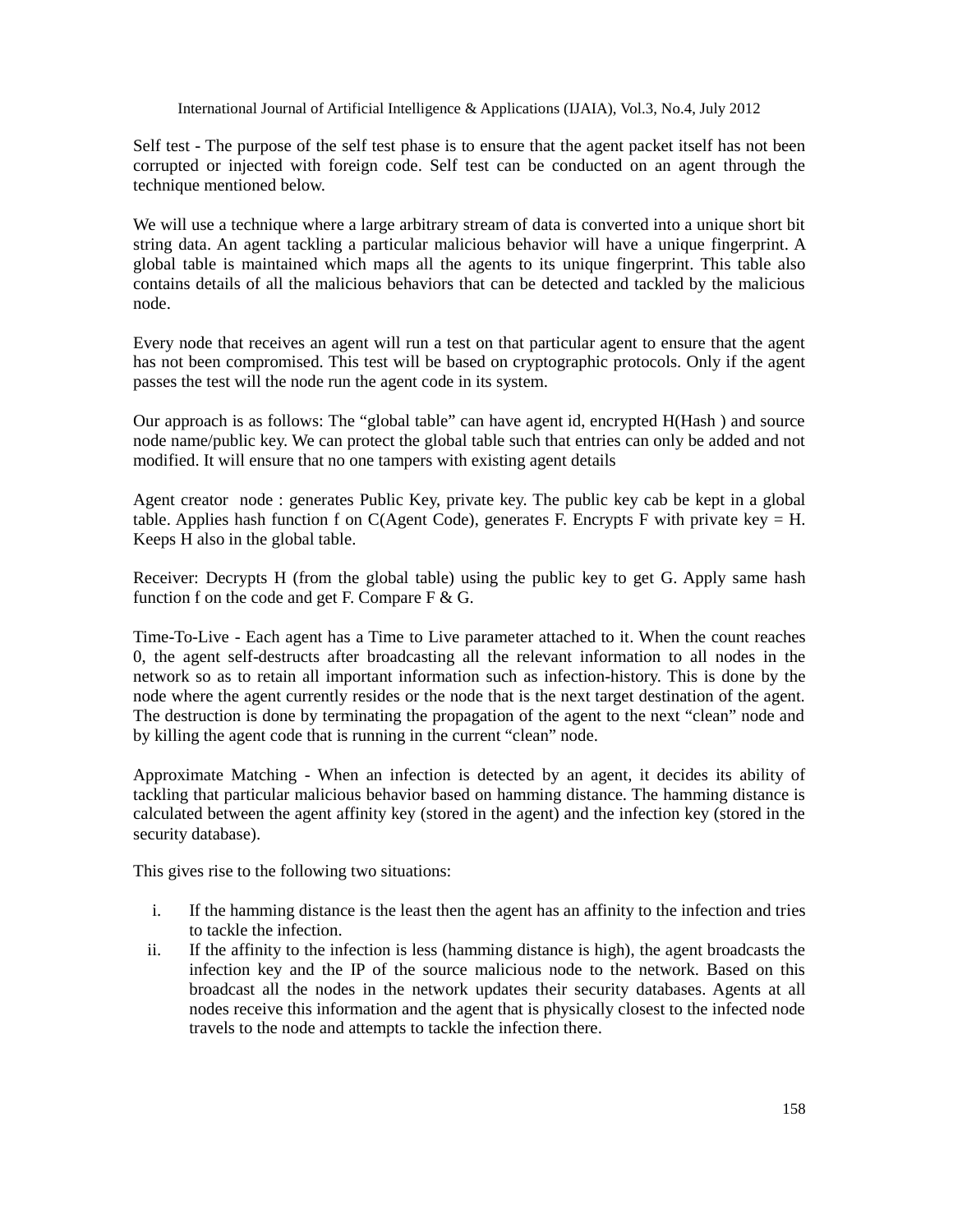Self test - The purpose of the self test phase is to ensure that the agent packet itself has not been corrupted or injected with foreign code. Self test can be conducted on an agent through the technique mentioned below.

We will use a technique where a large arbitrary stream of data is converted into a unique short bit string data. An agent tackling a particular malicious behavior will have a unique fingerprint. A global table is maintained which maps all the agents to its unique fingerprint. This table also contains details of all the malicious behaviors that can be detected and tackled by the malicious node.

Every node that receives an agent will run a test on that particular agent to ensure that the agent has not been compromised. This test will be based on cryptographic protocols. Only if the agent passes the test will the node run the agent code in its system.

Our approach is as follows: The "global table" can have agent id, encrypted H(Hash ) and source node name/public key. We can protect the global table such that entries can only be added and not modified. It will ensure that no one tampers with existing agent details

Agent creator node : generates Public Key, private key. The public key cab be kept in a global table. Applies hash function f on  $C(Agent Code)$ , generates F. Encrypts F with private key = H. Keeps H also in the global table.

Receiver: Decrypts H (from the global table) using the public key to get G. Apply same hash function f on the code and get F. Compare  $F \& G$ .

Time-To-Live - Each agent has a Time to Live parameter attached to it. When the count reaches 0, the agent self-destructs after broadcasting all the relevant information to all nodes in the network so as to retain all important information such as infection-history. This is done by the node where the agent currently resides or the node that is the next target destination of the agent. The destruction is done by terminating the propagation of the agent to the next "clean" node and by killing the agent code that is running in the current "clean" node.

Approximate Matching - When an infection is detected by an agent, it decides its ability of tackling that particular malicious behavior based on hamming distance. The hamming distance is calculated between the agent affinity key (stored in the agent) and the infection key (stored in the security database).

This gives rise to the following two situations:

- i. If the hamming distance is the least then the agent has an affinity to the infection and tries to tackle the infection.
- ii. If the affinity to the infection is less (hamming distance is high), the agent broadcasts the infection key and the IP of the source malicious node to the network. Based on this broadcast all the nodes in the network updates their security databases. Agents at all nodes receive this information and the agent that is physically closest to the infected node travels to the node and attempts to tackle the infection there.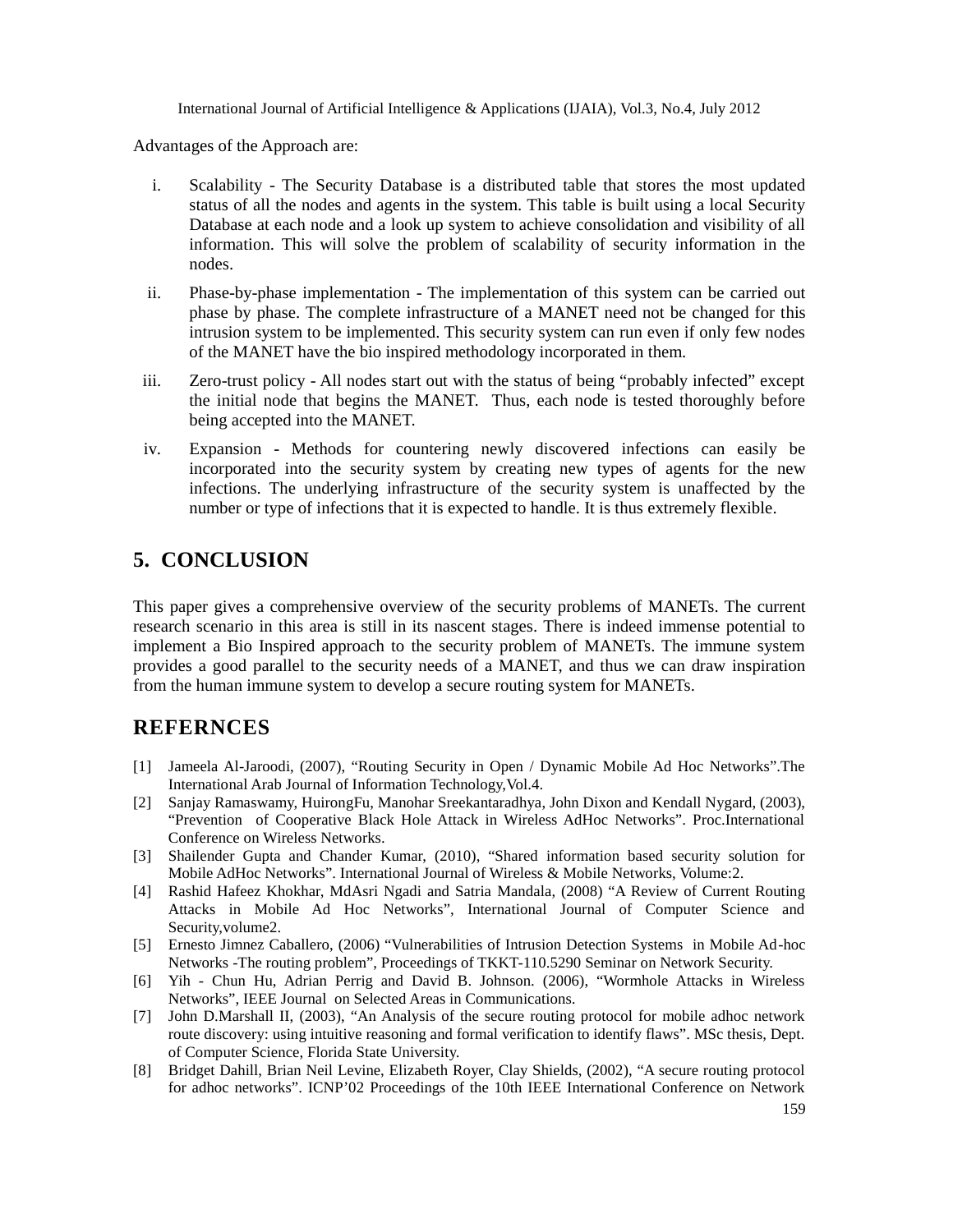Advantages of the Approach are:

- i. Scalability The Security Database is a distributed table that stores the most updated status of all the nodes and agents in the system. This table is built using a local Security Database at each node and a look up system to achieve consolidation and visibility of all information. This will solve the problem of scalability of security information in the nodes.
- ii. Phase-by-phase implementation The implementation of this system can be carried out phase by phase. The complete infrastructure of a MANET need not be changed for this intrusion system to be implemented. This security system can run even if only few nodes of the MANET have the bio inspired methodology incorporated in them.
- iii. Zero-trust policy All nodes start out with the status of being "probably infected" except the initial node that begins the MANET. Thus, each node is tested thoroughly before being accepted into the MANET.
- iv. Expansion Methods for countering newly discovered infections can easily be incorporated into the security system by creating new types of agents for the new infections. The underlying infrastructure of the security system is unaffected by the number or type of infections that it is expected to handle. It is thus extremely flexible.

# **5. CONCLUSION**

This paper gives a comprehensive overview of the security problems of MANETs. The current research scenario in this area is still in its nascent stages. There is indeed immense potential to implement a Bio Inspired approach to the security problem of MANETs. The immune system provides a good parallel to the security needs of a MANET, and thus we can draw inspiration from the human immune system to develop a secure routing system for MANETs.

## **REFERNCES**

- [1] Jameela Al-Jaroodi, (2007), "Routing Security in Open / Dynamic Mobile Ad Hoc Networks".The International Arab Journal of Information Technology,Vol.4.
- [2] Sanjay Ramaswamy, HuirongFu, Manohar Sreekantaradhya, John Dixon and Kendall Nygard, (2003), "Prevention of Cooperative Black Hole Attack in Wireless AdHoc Networks". Proc.International Conference on Wireless Networks.
- [3] Shailender Gupta and Chander Kumar, (2010), "Shared information based security solution for Mobile AdHoc Networks". International Journal of Wireless & Mobile Networks, Volume:2.
- [4] Rashid Hafeez Khokhar, MdAsri Ngadi and Satria Mandala, (2008) "A Review of Current Routing Attacks in Mobile Ad Hoc Networks", International Journal of Computer Science and Security,volume2.
- [5] Ernesto Jimnez Caballero, (2006) "Vulnerabilities of Intrusion Detection Systems in Mobile Ad-hoc Networks -The routing problem", Proceedings of TKKT-110.5290 Seminar on Network Security.
- [6] Yih Chun Hu, Adrian Perrig and David B. Johnson. (2006), "Wormhole Attacks in Wireless Networks", IEEE Journal on Selected Areas in Communications.
- [7] John D.Marshall II, (2003), "An Analysis of the secure routing protocol for mobile adhoc network route discovery: using intuitive reasoning and formal verification to identify flaws". MSc thesis, Dept. of Computer Science, Florida State University.
- [8] Bridget Dahill, Brian Neil Levine, Elizabeth Royer, Clay Shields, (2002), "A secure routing protocol for adhoc networks". ICNP'02 Proceedings of the 10th IEEE International Conference on Network